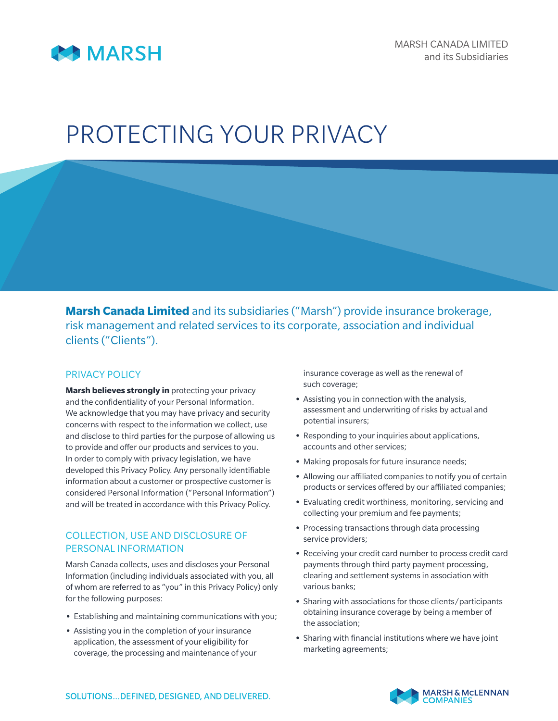

# PROTECTING YOUR PRIVACY

**Marsh Canada Limited** and its subsidiaries ("Marsh") provide insurance brokerage, risk management and related services to its corporate, association and individual clients ("Clients").

# PRIVACY POLICY

**Marsh believes strongly in** protecting your privacy and the confidentiality of your Personal Information. We acknowledge that you may have privacy and security concerns with respect to the information we collect, use and disclose to third parties for the purpose of allowing us to provide and offer our products and services to you. In order to comply with privacy legislation, we have developed this Privacy Policy. Any personally identifiable information about a customer or prospective customer is considered Personal Information ("Personal Information") and will be treated in accordance with this Privacy Policy.

### COLLECTION, USE AND DISCLOSURE OF PERSONAL INFORMATION

Marsh Canada collects, uses and discloses your Personal Information (including individuals associated with you, all of whom are referred to as "you" in this Privacy Policy) only for the following purposes:

- **•** Establishing and maintaining communications with you;
- **•** Assisting you in the completion of your insurance application, the assessment of your eligibility for coverage, the processing and maintenance of your

insurance coverage as well as the renewal of such coverage;

- **•** Assisting you in connection with the analysis, assessment and underwriting of risks by actual and potential insurers;
- **•** Responding to your inquiries about applications, accounts and other services;
- **•** Making proposals for future insurance needs;
- **•** Allowing our affiliated companies to notify you of certain products or services offered by our affiliated companies;
- **•** Evaluating credit worthiness, monitoring, servicing and collecting your premium and fee payments;
- **•** Processing transactions through data processing service providers;
- **•** Receiving your credit card number to process credit card payments through third party payment processing, clearing and settlement systems in association with various banks;
- **•** Sharing with associations for those clients/participants obtaining insurance coverage by being a member of the association;
- **•** Sharing with financial institutions where we have joint marketing agreements;

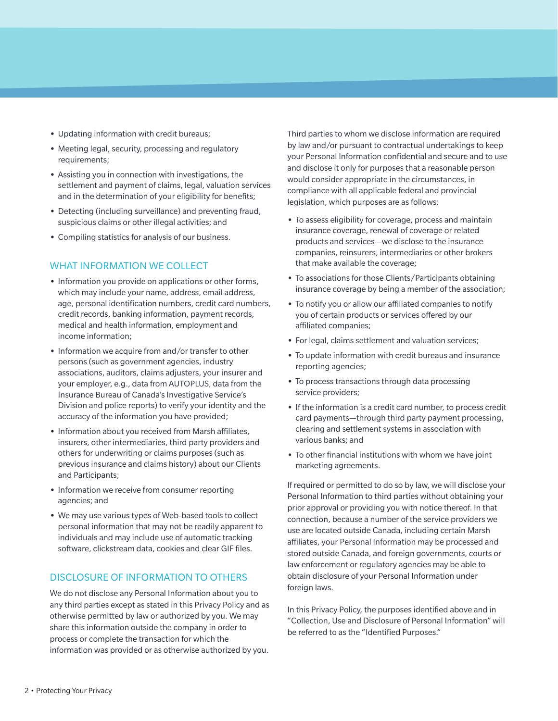- **•** Updating information with credit bureaus;
- **•** Meeting legal, security, processing and regulatory requirements;
- **•** Assisting you in connection with investigations, the settlement and payment of claims, legal, valuation services and in the determination of your eligibility for benefits;
- **•** Detecting (including surveillance) and preventing fraud, suspicious claims or other illegal activities; and
- **•** Compiling statistics for analysis of our business.

### WHAT INFORMATION WE COLLECT

- **•** Information you provide on applications or other forms, which may include your name, address, email address, age, personal identification numbers, credit card numbers, credit records, banking information, payment records, medical and health information, employment and income information;
- **•** Information we acquire from and/or transfer to other persons (such as government agencies, industry associations, auditors, claims adjusters, your insurer and your employer, e.g., data from AUTOPLUS, data from the Insurance Bureau of Canada's Investigative Service's Division and police reports) to verify your identity and the accuracy of the information you have provided;
- **•** Information about you received from Marsh affiliates, insurers, other intermediaries, third party providers and others for underwriting or claims purposes (such as previous insurance and claims history) about our Clients and Participants;
- **•** Information we receive from consumer reporting agencies; and
- **•** We may use various types of Web-based tools to collect personal information that may not be readily apparent to individuals and may include use of automatic tracking software, clickstream data, cookies and clear GIF files.

#### DISCLOSURE OF INFORMATION TO OTHERS

We do not disclose any Personal Information about you to any third parties except as stated in this Privacy Policy and as otherwise permitted by law or authorized by you. We may share this information outside the company in order to process or complete the transaction for which the information was provided or as otherwise authorized by you.

Third parties to whom we disclose information are required by law and/or pursuant to contractual undertakings to keep your Personal Information confidential and secure and to use and disclose it only for purposes that a reasonable person would consider appropriate in the circumstances, in compliance with all applicable federal and provincial legislation, which purposes are as follows:

- **•** To assess eligibility for coverage, process and maintain insurance coverage, renewal of coverage or related products and services—we disclose to the insurance companies, reinsurers, intermediaries or other brokers that make available the coverage;
- **•** To associations for those Clients/Participants obtaining insurance coverage by being a member of the association;
- **•** To notify you or allow our affiliated companies to notify you of certain products or services offered by our affiliated companies;
- **•** For legal, claims settlement and valuation services;
- **•** To update information with credit bureaus and insurance reporting agencies;
- **•** To process transactions through data processing service providers;
- **•** If the information is a credit card number, to process credit card payments—through third party payment processing, clearing and settlement systems in association with various banks; and
- **•** To other financial institutions with whom we have joint marketing agreements.

If required or permitted to do so by law, we will disclose your Personal Information to third parties without obtaining your prior approval or providing you with notice thereof. In that connection, because a number of the service providers we use are located outside Canada, including certain Marsh affiliates, your Personal Information may be processed and stored outside Canada, and foreign governments, courts or law enforcement or regulatory agencies may be able to obtain disclosure of your Personal Information under foreign laws.

In this Privacy Policy, the purposes identified above and in "Collection, Use and Disclosure of Personal Information" will be referred to as the "Identified Purposes."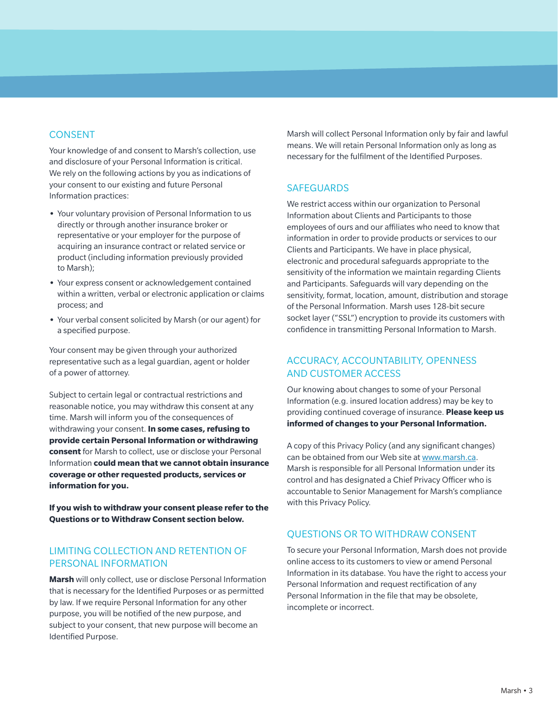# CONSENT

Your knowledge of and consent to Marsh's collection, use and disclosure of your Personal Information is critical. We rely on the following actions by you as indications of your consent to our existing and future Personal Information practices:

- **•** Your voluntary provision of Personal Information to us directly or through another insurance broker or representative or your employer for the purpose of acquiring an insurance contract or related service or product (including information previously provided to Marsh);
- **•** Your express consent or acknowledgement contained within a written, verbal or electronic application or claims process; and
- **•** Your verbal consent solicited by Marsh (or our agent) for a specified purpose.

Your consent may be given through your authorized representative such as a legal guardian, agent or holder of a power of attorney.

Subject to certain legal or contractual restrictions and reasonable notice, you may withdraw this consent at any time. Marsh will inform you of the consequences of withdrawing your consent. **In some cases, refusing to provide certain Personal Information or withdrawing consent** for Marsh to collect, use or disclose your Personal Information **could mean that we cannot obtain insurance coverage or other requested products, services or information for you.**

**If you wish to withdraw your consent please refer to the Questions or to Withdraw Consent section below.**

#### LIMITING COLLECTION AND RETENTION OF PERSONAL INFORMATION

**Marsh** will only collect, use or disclose Personal Information that is necessary for the Identified Purposes or as permitted by law. If we require Personal Information for any other purpose, you will be notified of the new purpose, and subject to your consent, that new purpose will become an Identified Purpose.

Marsh will collect Personal Information only by fair and lawful means. We will retain Personal Information only as long as necessary for the fulfilment of the Identified Purposes.

#### **SAFEGUARDS**

We restrict access within our organization to Personal Information about Clients and Participants to those employees of ours and our affiliates who need to know that information in order to provide products or services to our Clients and Participants. We have in place physical, electronic and procedural safeguards appropriate to the sensitivity of the information we maintain regarding Clients and Participants. Safeguards will vary depending on the sensitivity, format, location, amount, distribution and storage of the Personal Information. Marsh uses 128-bit secure socket layer ("SSL") encryption to provide its customers with confidence in transmitting Personal Information to Marsh.

# ACCURACY, ACCOUNTABILITY, OPENNESS AND CUSTOMER ACCESS

Our knowing about changes to some of your Personal Information (e.g. insured location address) may be key to providing continued coverage of insurance. **Please keep us informed of changes to your Personal Information.**

A copy of this Privacy Policy (and any significant changes) can be obtained from our Web site at www.marsh.ca. Marsh is responsible for all Personal Information under its control and has designated a Chief Privacy Officer who is accountable to Senior Management for Marsh's compliance with this Privacy Policy.

#### QUESTIONS OR TO WITHDRAW CONSENT

To secure your Personal Information, Marsh does not provide online access to its customers to view or amend Personal Information in its database. You have the right to access your Personal Information and request rectification of any Personal Information in the file that may be obsolete, incomplete or incorrect.